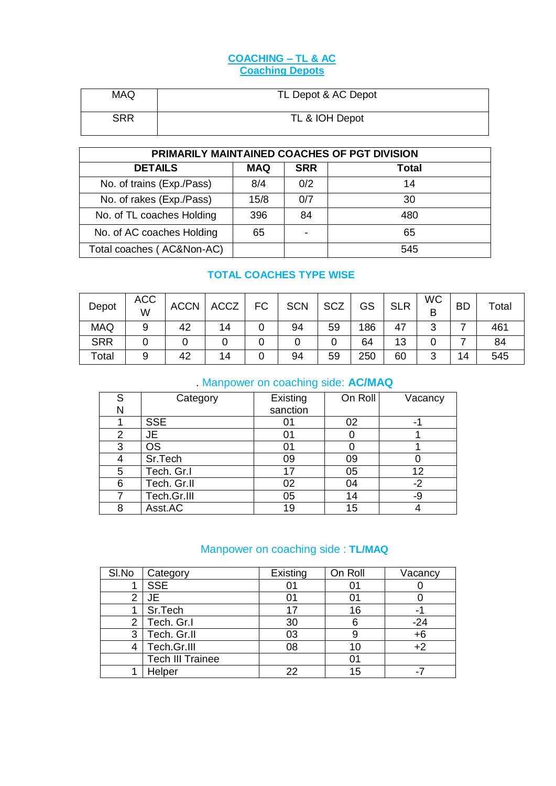### **COACHING – TL & AC Coaching Depots**

| <b>MAQ</b> | TL Depot & AC Depot |
|------------|---------------------|
| <b>SRR</b> | TL & IOH Depot      |

| PRIMARILY MAINTAINED COACHES OF PGT DIVISION |            |            |       |  |  |  |
|----------------------------------------------|------------|------------|-------|--|--|--|
| <b>DETAILS</b>                               | <b>MAQ</b> | <b>SRR</b> | Total |  |  |  |
| No. of trains (Exp./Pass)                    | 8/4        | 0/2        | 14    |  |  |  |
| No. of rakes (Exp./Pass)                     | 15/8       | 0/7        | 30    |  |  |  |
| No. of TL coaches Holding                    | 396        | 84         | 480   |  |  |  |
| No. of AC coaches Holding                    | 65         |            | 65    |  |  |  |
| Total coaches (AC&Non-AC)                    |            |            | 545   |  |  |  |

### **TOTAL COACHES TYPE WISE**

| Depot       | <b>ACC</b><br>W | <b>ACCN</b> | <b>ACCZ</b> | FC | <b>SCN</b> | <b>SCZ</b> | GS  | <b>SLR</b> | <b>WC</b><br>B | <b>BD</b> | Total |
|-------------|-----------------|-------------|-------------|----|------------|------------|-----|------------|----------------|-----------|-------|
| <b>MAQ</b>  |                 | 42          | 14          |    | 94         | 59         | 186 | 47         | ⌒<br>ັ         | ۔         | 461   |
| <b>SRR</b>  |                 |             |             |    |            |            | 64  | 13         |                |           | 84    |
| $\tau$ otal |                 | 42          | 14          |    | 94         | 59         | 250 | 60         | 3              | 14        | 545   |

## . Manpower on coaching side: **AC/MAQ**

| S              | Category    | Existing | On Roll | Vacancy |
|----------------|-------------|----------|---------|---------|
| Ν              |             | sanction |         |         |
|                | <b>SSE</b>  |          | 02      |         |
| $\overline{2}$ | JE.         | 01       |         |         |
| 3              | <b>OS</b>   | 01       |         |         |
| 4              | Sr.Tech     | 09       | 09      |         |
| 5              | Tech. Gr.I  | 17       | 05      | 12      |
| 6              | Tech. Gr.II | 02       | 04      | -2      |
| 7              | Tech.Gr.III | 05       | 14      | -9      |
| 8              | Asst.AC     | 19       | 15      |         |

# Manpower on coaching side : **TL/MAQ**

| SI.No | Category                | Existing | On Roll | Vacancy |
|-------|-------------------------|----------|---------|---------|
|       | <b>SSE</b>              | 01       |         |         |
|       | JE                      | 01       |         |         |
|       | Sr.Tech                 | 17       | 16      |         |
| 2     | Tech. Gr.I              | 30       | 6       | -24     |
| 3     | Tech. Gr.II             | 03       |         |         |
| 4     | Tech.Gr.III             | 08       | 10      |         |
|       | <b>Tech III Trainee</b> |          |         |         |
|       | Helper                  | 22       | 15      |         |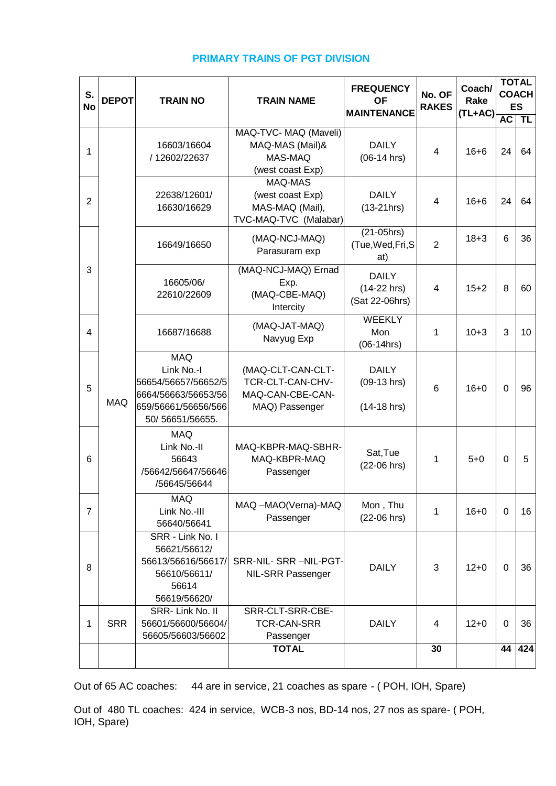| S.<br><b>No</b> | <b>DEPOT</b>                                                                                    | <b>TRAIN NO</b>                                                                                                   | <b>TRAIN NAME</b>                                                           | <b>FREQUENCY</b><br><b>OF</b><br><b>MAINTENANCE</b> | No. OF<br><b>RAKES</b> | Coach/<br>Rake<br>(TL+AC) |             | <b>TOTAL</b><br><b>COACH</b><br><b>ES</b> |
|-----------------|-------------------------------------------------------------------------------------------------|-------------------------------------------------------------------------------------------------------------------|-----------------------------------------------------------------------------|-----------------------------------------------------|------------------------|---------------------------|-------------|-------------------------------------------|
|                 |                                                                                                 |                                                                                                                   | MAQ-TVC- MAQ (Maveli)                                                       |                                                     |                        |                           | <b>AC</b>   | <b>TL</b>                                 |
| 1               |                                                                                                 | 16603/16604<br>/ 12602/22637                                                                                      | MAQ-MAS (Mail)&<br>MAS-MAQ<br>(west coast Exp)                              | <b>DAILY</b><br>$(06-14$ hrs)                       | $\overline{4}$         | $16 + 6$                  | 24          | 64                                        |
| $\overline{2}$  |                                                                                                 | 22638/12601/<br>16630/16629                                                                                       | MAQ-MAS<br>(west coast Exp)<br>MAS-MAQ (Mail),<br>TVC-MAQ-TVC (Malabar)     | <b>DAILY</b><br>$(13-21)$ hrs)                      | $\overline{4}$         | $16 + 6$                  | 24          | 64                                        |
|                 |                                                                                                 | 16649/16650                                                                                                       | (MAQ-NCJ-MAQ)<br>Parasuram exp                                              | $(21-05)$ hrs)<br>(Tue, Wed, Fri, S<br>at)          | $\overline{2}$         | $18 + 3$                  | 6           | 36                                        |
| 3               |                                                                                                 | 16605/06/<br>22610/22609                                                                                          | (MAQ-NCJ-MAQ) Ernad<br>Exp.<br>(MAQ-CBE-MAQ)<br>Intercity                   | <b>DAILY</b><br>$(14-22$ hrs)<br>(Sat 22-06hrs)     | $\overline{4}$         | $15 + 2$                  | 8           | 60                                        |
| 4               |                                                                                                 | 16687/16688                                                                                                       | (MAQ-JAT-MAQ)<br>Navyug Exp                                                 | <b>WEEKLY</b><br>Mon<br>$(06-14$ hrs)               | 1                      | $10 + 3$                  | 3           | 10                                        |
| 5               | <b>MAQ</b>                                                                                      | <b>MAQ</b><br>Link No.-I<br>56654/56657/56652/5<br>6664/56663/56653/56<br>659/56661/56656/566<br>50/ 56651/56655. | (MAQ-CLT-CAN-CLT-<br>TCR-CLT-CAN-CHV-<br>MAQ-CAN-CBE-CAN-<br>MAQ) Passenger | <b>DAILY</b><br>$(09-13$ hrs)<br>$(14-18)$ hrs)     | 6                      | $16 + 0$                  | $\Omega$    | 96                                        |
| 6               |                                                                                                 | MAQ<br>Link No.-II<br>56643<br>/56642/56647/56646<br>/56645/56644                                                 | MAQ-KBPR-MAQ-SBHR-<br>MAQ-KBPR-MAQ<br>Passenger                             | Sat, Tue<br>$(22-06)$ hrs)                          | 1                      | $5 + 0$                   | $\Omega$    | 5                                         |
| $\overline{7}$  |                                                                                                 | <b>MAQ</b><br>Link No.-III<br>56640/56641                                                                         | MAQ -MAO(Verna)-MAQ<br>Passenger                                            | Mon, Thu<br>(22-06 hrs)                             | 1                      | $16 + 0$                  | $\mathbf 0$ | 16                                        |
| 8               | SRR - Link No. I<br>56621/56612/<br>56613/56616/56617/<br>56610/56611/<br>56614<br>56619/56620/ |                                                                                                                   | SRR-NIL- SRR -NIL-PGT-<br><b>NIL-SRR Passenger</b>                          | <b>DAILY</b>                                        | 3                      | $12 + 0$                  | $\Omega$    | 36                                        |
| 1               | <b>SRR</b>                                                                                      | SRR-Link No. II<br>56601/56600/56604/<br>56605/56603/56602                                                        | SRR-CLT-SRR-CBE-<br><b>TCR-CAN-SRR</b><br>Passenger                         | <b>DAILY</b>                                        | $\overline{4}$         | $12 + 0$                  | 0           | 36                                        |
|                 |                                                                                                 |                                                                                                                   | <b>TOTAL</b>                                                                |                                                     | 30                     |                           | 44          | 424                                       |

### **PRIMARY TRAINS OF PGT DIVISION**

Out of 65 AC coaches: 44 are in service, 21 coaches as spare - ( POH, IOH, Spare)

Out of 480 TL coaches: 424 in service, WCB-3 nos, BD-14 nos, 27 nos as spare- ( POH, IOH, Spare)